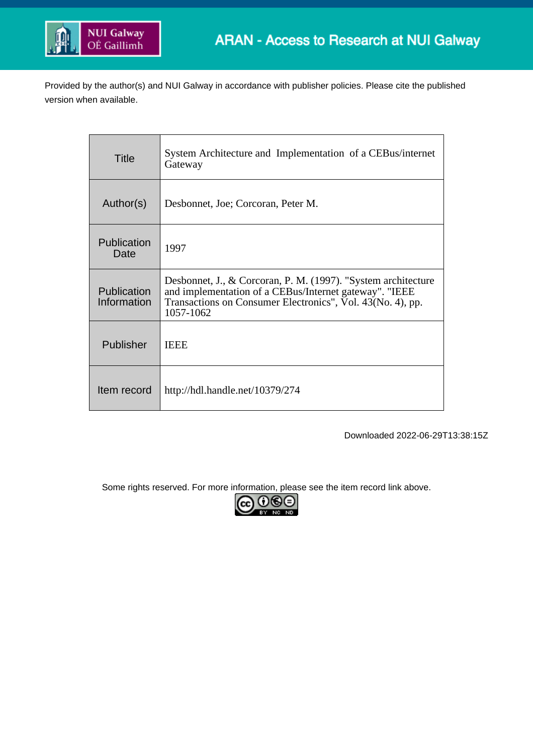

Provided by the author(s) and NUI Galway in accordance with publisher policies. Please cite the published version when available.

| Title                             | System Architecture and Implementation of a CEBus/internet<br>Gateway                                                                                                                              |
|-----------------------------------|----------------------------------------------------------------------------------------------------------------------------------------------------------------------------------------------------|
| Author(s)                         | Desbonnet, Joe; Corcoran, Peter M.                                                                                                                                                                 |
| Publication<br>Date               | 1997                                                                                                                                                                                               |
| <b>Publication</b><br>Information | Desbonnet, J., & Corcoran, P. M. (1997). "System architecture<br>and implementation of a CEBus/Internet gateway". "IEEE<br>Transactions on Consumer Electronics", Vol. 43(No. 4), pp.<br>1057-1062 |
| Publisher                         | <b>IEEE</b>                                                                                                                                                                                        |
| Item record                       | http://hdl.handle.net/10379/274                                                                                                                                                                    |

Downloaded 2022-06-29T13:38:15Z

Some rights reserved. For more information, please see the item record link above.

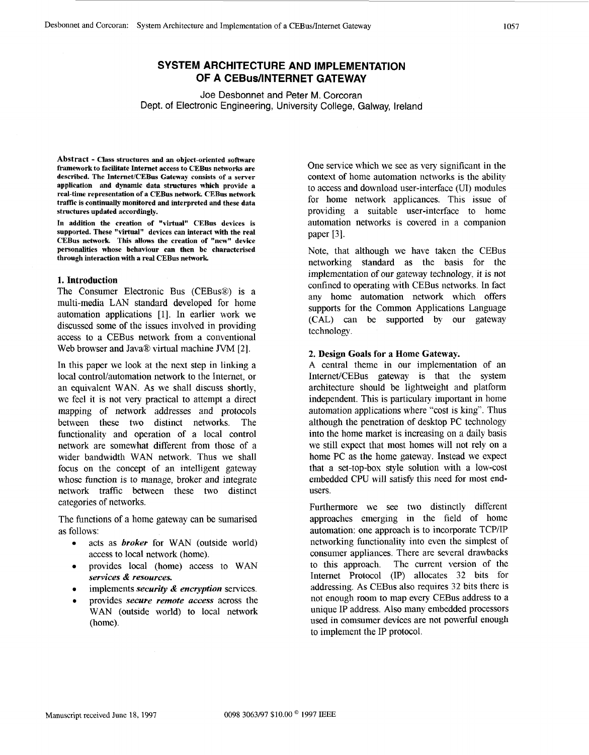# **SYSTEM ARCHITECTURE AND IMPLEMENTATION OF A CEBus/lNTERNET GATEWAY**

Joe Desbonnet and Peter M. Corcoran Dept. of Electronic Engineering, University College, Galway, Ireland

**Abstract** - **Class structures and an object-oriented software framework to facilitate Internet access to CEBus networks are**  described. The Internet/CEBus Gateway consists of a server **application and dynamic data structures which provide a real-time representation of a CEBus network CEBus network traffic is continually monitored and interpreted and these data structures updated accordingly.** 

**In addition the creation of "virtual" CEBus devices is supported. These "virtual" devices can interact with the real CEBus network This allows the creation of "new" device personalities whose behaviour can then be characterised through interaction with a real CEBus network** 

### **1. Introduction**

The Consumer Electronic Bus (CEBus®) is a multi-media LAN standard developed for home automation applications [l]. In earlier work we discussed some of the issues involved in providing access to a CEBus network from a conventional Web browser and Java@ virtual machine JVM **[2].** 

In this paper we look at the next step in linking a local control/automation network to the Internet, or an equivalent WAN. As we shall discuss shortly, we feel it is not very practical to attempt a direct mapping of network addresses and protocols between these two distinct networks. The functionality and operation of a local control network are somewhat different from those of a wider bandwidth WAN network. Thus we shall focus on the concept of an intelligent gateway whosc function is to manage, broker and integrate network traffic between these two distinct categories of networks.

The functions of a home gateway can be sumarised as follows:

- acts as *broker* for WAN (outside world) access to local network (home).
- provides local (home) access to WAN *services* & *resources.*
- *implements security & encryption services.*
- *<sup>0</sup>*provides *secure remote access* across the WAN (outside world) to local network (home).

One service which we see as very significant in the context of home automation networks is the ability to access and download user-interface (UI) modules for home network applicances. This issue of providing a suitable user-interface to home automation networks is covered in a companion paper [3].

Note, that although we have taken the CEBus networking standard as the basis for the implementation of our gateway technology, it is not confined to operating with CEBus networks. In fact any home automation network which offers supports for the Common Applications Language (CAL) can be supported by our gateway technology.

#### **2. Design Goals for a Home Gateway.**

A central theme in our implementation of an Internet/CEBus gateway is that the system architecture should be lightweight and platform independent. This is particulary important in home automation applications where "cost is king". Thus although the penetration of desktop PC technology into the home market is increasing on a daily basis we still expect that most homes will not rely on a home PC as the home gateway. Instead we expect that a set-top-box style solution with a low-cost embedded CPU will satisfy this need for most endusers.

Furthermore we see two distinctly different approaches emerging in the field of home automation: one approach is to incorporate TCP/IP networking functionality into even the simplest of consumer appliances. There are several drawbacks to this approach. The current version of the Internet Protocol (IP) allocates 32 bits for addressing. As CEBus also requires 32 bits there is not enough room to map every CEBus address to a unique IP address. Also many embedded processors used in comsumer devices are not powerful enough to implement the IP protocol.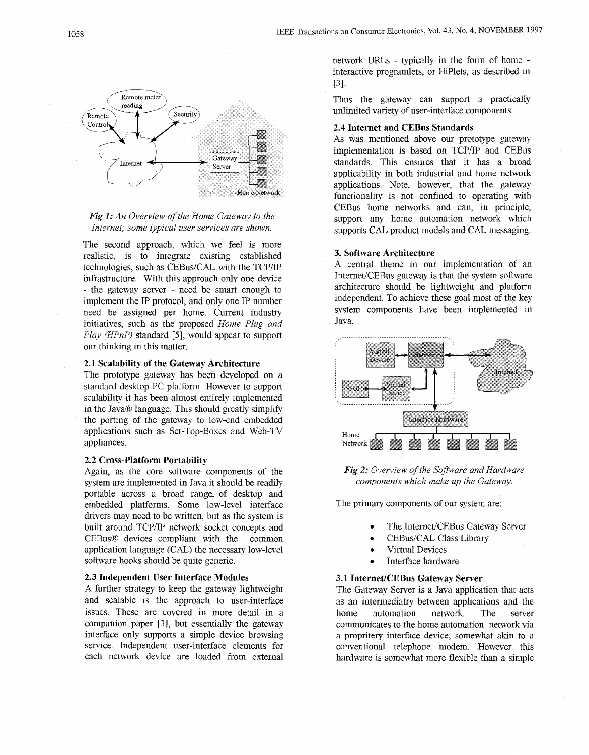



The second approach, which we feel is more realistic, is to integrate existing established technologies, such as CEBus/CAL with the TCP/IP infrastructure. With this approach only one device - the gateway server - need be smart enough to implement the IP protocol, and only one IP number need be assigned per home. Current industry initiatives, such as the proposed *Home Plug and Play (HPnP)* standard [5], would appear to support our thinking in this matter.

## **2.1 Scalability of the Gateway Architecture**

The prototype gateway has been developed on a standard desktop PC platform. However to support scalability it has been almost entirely implemented in the Java $\circledR$  language. This should greatly simplify the porting of the gateway to low-end embedded applications such as Set-Top-Boxes and Web-TV appliances.

#### **2.2 Cross-Platform Portability**

Again, as the core software components of the system are implemented in Java it should be readily portable across a broad range. of desktop and embedded platforms. Some low-level interface drivers may need to be written, but as the system is built around TCPIIP network socket concepts and CEBusB devices compliant with the common application language (CAL,) the necessary low-level software hooks should be quite generic.

#### **2.3 Independent User Interface Modules**

A further strategy to keep the gateway lightweight and scalable is the approach to user-interface issues. These are covered in more detail in a companion paper [3], but essentially the gateway interface only supports a simple device browsing service. Independent user-interface elements for each network device are loaded from external

network URLs - typically in the form of home interactive programlets, or HiPlets, as described in [31.

Thus the gateway can support a practically unlimited variety of user-interface components.

#### **2.4 Internet and CEBus Standards**

As was mentioned above our prototype gateway implementation is based on TCP/IP and CEBus standards. This ensures that it has a broad applicability in both industrial and home network applications. Note, however, that the gateway functionality is not confined to operating with CEBus home networks and can, in principle, support any home automation network which supports CAL product models and CAL messaging.

#### **3. Software Architecture**

A central theme in our implementation of an Internet/CEBus gateway is that the system software architecture should be lightweight and platform independent. To achieve these goal most of the key system components have been implemented in Java.



*Fig 2: Overview of the Soflare and Hara'ware Components which make up the Gateway.* 

The primary components of our system are:

- The Internet/CEBus Gateway Server
- *<sup>0</sup>*CEBus/CAL Class Library
- **Virtual Devices**
- Interface hardware

#### **3.1 Internet/CEBus Gateway Server**

The Gateway Server is a Java application that acts as an intermediatry between applications and the home automation network. The server communicates to the home automation network via a propritery interface device, somewhat akin to a conventional telephone modem. However this hardware is somewhat more flexible than a simple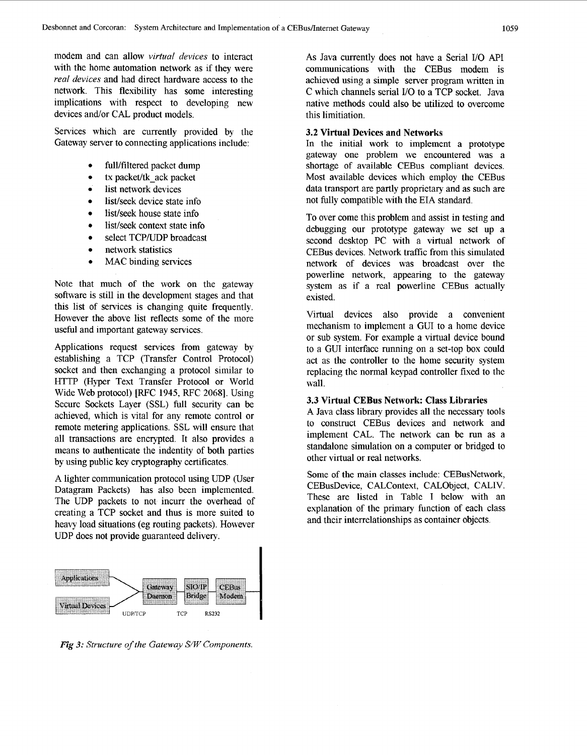modem and can allow *virtual devices* to interact with the home automation network as if they were *real devices* and had direct hardware access to the network. This flexibility has some interesting implications with respect to developing new devices and/or CAL product models.

Services which are currently provided by the Gateway server to connecting applications include:

- full/filtered packet dump
- tx packet/tk ack packet
- list network devices
- list/seek device state info
- list/seek house state info
- list/seek context state info
- select TCP/UDP broadcast
- *<sup>0</sup>*network statistics
- MAC binding services

Note that much of the work on the gateway software is still in the development stages and that this list of services is changing quite frequently. However the above list reflects some of the more useful and important gateway services.

Applications request services from gateway by establishing a TCP (Transfer Control Protocol) socket and then exchanging a protocol similar to HTTP (Hyper Text Transfer Protocol or World Wide Web protocol) [RFC 1945, RFC **20681.** Using Secure Sockets Layer (SSL) full security can be achieved, which is vital for any remote control or remote metering applications. SSL will ensure that all transactions are encrypted. It also provides a means to authenticate the indentity of both parties by using public key cryptography certificates.

**A** lighter communication protocol using UDP (User Datagram Packets) has also been implemented. The UDP packets to not incurr the overhead of creating a TCP socket and thus is more suited to heavy load situations (eg routing packets). However UDP does not provide guaranteed delivery.



*Fig 3: Structure of the Gateway S/W Components.* 

**As** Java currently does not have **a** Serial I/O API communications with the CEBus modem is achieved using a simple server program written in C which channels serial 1/0 to a TCP socket. Java native methods could also be utilized to overcome this limitiation.

## **3.2 Virtual Devices and Networks**

In the initial work to implement a prototype gateway one problem we encountered was a shortage of available CEBus compliant devices. Most available devices which employ the CEBus data transport are partly proprietary and as such are not fully compatible with the EIA standard.

To over come this problem and assist in testing and debugging our prototype gateway we set up a second desktop PC with a virtual network of CEBus devices. Network traffic from this simulated network of devices was broadcast over the powerline network, appearing to the gateway system as if a real powerline CEBus actually existed.

Virtual devices also provide a convenient mechanism to implement a GUI to a home device or sub system. For example a virtual device bound to a GUI interface running on a set-top box could act as the controller to the home security system replacing the normal keypad controller fixed to the wall.

#### **3.3 Virtual CEBus Network: Class Libraries**

**A** Java class library provides all the necessary tools to construct CEBus devices and network and implement CAL. The network can be run as a standalone simulation on a computer or bridged to other virtual or real networks.

Some of the main classes include: CEBusNetwork, CEBusDevice, CALContext, CALObject, CALIV. These are listed in Table I below with an explanation of the primary function of each class and their interrelationships as container objects.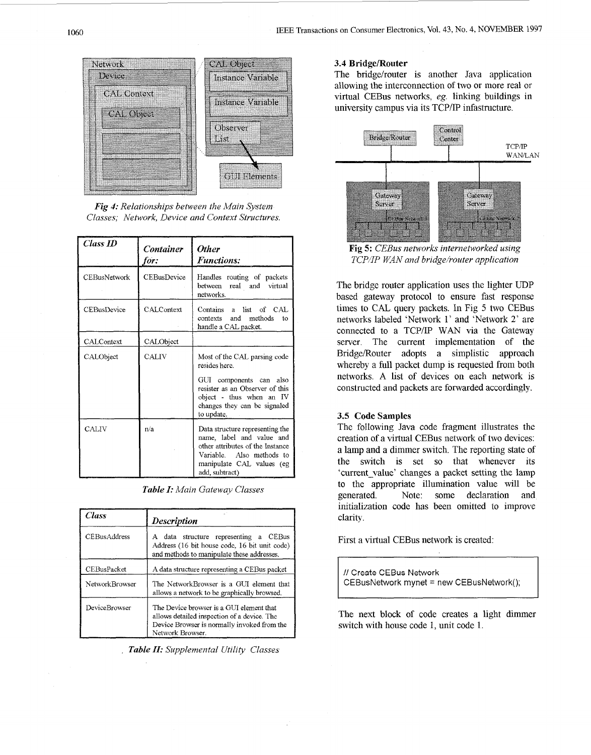

*Fig 4: Relationships between the Main System Classes; Network, Device and Context Structures.* 

| Class ID            | <b>Container</b><br>for: | <b>Other</b><br><b>Functions:</b>                                                                                                                                            |
|---------------------|--------------------------|------------------------------------------------------------------------------------------------------------------------------------------------------------------------------|
| <b>CEBusNetwork</b> | CEBusDevice              | Handles routing of packets<br>between real and virtual<br>networks.                                                                                                          |
| <b>CEBusDevice</b>  | <b>CALContext</b>        | Contains a list of CAL<br>and methods to<br>contexts<br>handle a CAL packet.                                                                                                 |
| CALContext          | CALObject                |                                                                                                                                                                              |
| CALObject           | <b>CALIV</b>             | Most of the CAL parsing code<br>resides here.                                                                                                                                |
|                     |                          | GUI components can also<br>resister as an Observer of this<br>object - thus when an IV<br>changes they can be signaled<br>to update.                                         |
| CALIV               | n/a                      | Data structure representing the<br>name, label and value and<br>other attributes of the Instance<br>Variable. Also methods to<br>manipulate CAL values (eg<br>add, subtract) |

*Table I: Main Gateway Classes* 

| Class                | <b>Description</b>                                                                                                                                         |  |
|----------------------|------------------------------------------------------------------------------------------------------------------------------------------------------------|--|
| <b>CEBusAddress</b>  | A data structure representing a CEBus<br>Address (16 bit house code, 16 bit unit code)<br>and methods to manipulate these addresses.                       |  |
| CEBusPacket          | A data structure representing a CEBus packet                                                                                                               |  |
| Network Browser      | The NetworkBrowser is a GUI element that<br>allows a network to be graphically browsed.                                                                    |  |
| <b>DeviceBrowser</b> | The Device browser is a GUI element that<br>allows detailed inspection of a device. The<br>Device Browser is normally invoked from the<br>Network Browser. |  |

. *Table 11: Supplemental Utility Classes* 

## **3.4 Bridge/Router**

The bridge/router is another Java application allowing the interconnection of two or more real or virtual CEBus networks, *eg.* linking buildings in university campus via its TCP/IP infastructure.



**Fig 5:** *CEBus networks internetworked using TCP/IP WAN and bridge/router application* 

The bridge router application uses the lighter UDP based gateway protocol to ensure fast response times to CAI, query packets. In Fig *5* two CEBus networks labeled 'Network 1' and 'Network *2'* are connected to a TCP/IP WAN via the Gateway server. The current implementation of the Bridge/Router adopts a simplistic approach whereby a full packet dump is requested from both networks. **A** list of devices on each network is constructed and packets are forwarded accordingly.

## **3.5 Code Samples**

The following Java code fragment illustrates the creation of a virtnal CEBus network of two devices: a lamp and a dimmer switch. The reporting state of the switch is set so that whenever its 'current-value' changes a packet setting the lamp to the appropriate illumination value will be generated. Note: some declaration and initialization code has been omitted to improve clarity.

First a virtual CEBus network is created:

*I1* Create CEBus Network CEBusNetwork mynet = new CEBusNetwork();

The next block of code creates a light dimmer switch with house code 1, unit code 1.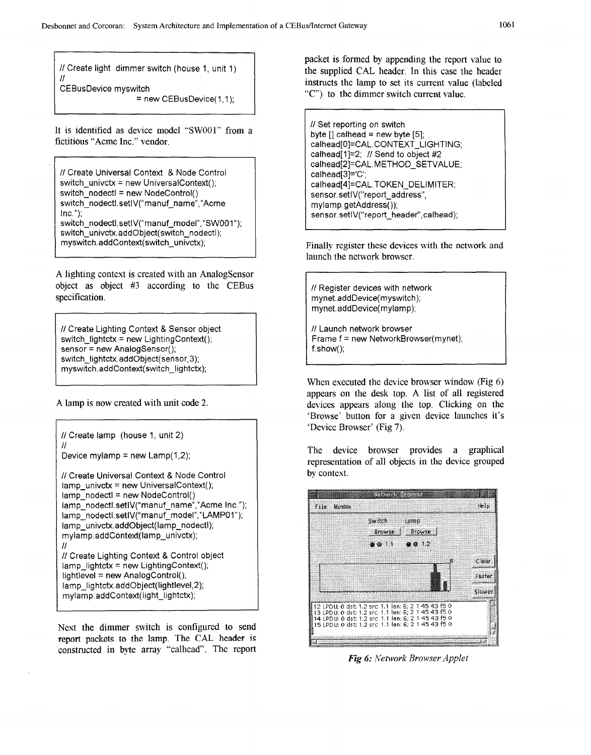*I/* Create light dimmer switch (house 1, unit 1)  $^{\prime\prime}$ 

CEBusDevice myswitch

= new CEBusDevice(1,1);

It is identified as device model "SWOOl" from a fictitious "Acme Inc." vendor.

*I/* Create Universal Context & Node Control switch-univctx = new UniversalContext(); switch-nodectl = new NodeControl() switch-nodectl.setlV("manuf-name","Acme Inc."); switch\_nodectl.setlV("manuf\_model","SW001"); switch\_univctx.addObject( switch\_nodectl); myswitch.addContext( switch-univctx);

A lighting context is created with an Analogsensor object as object #3 according to the CEBus specification.

*/I* Create Lighting Context & Sensor object switch-lightctx = new LightingContext(); sensor = new AnalogSensor(); switch-lightctx.addObject(sensor, 3); myswitch.addContext(switch-lightctx);

A lamp is now created with unit code **2.** 

*I/* Create lamp (house 1, unit 2) *I/*  Device mylamp = new Lamp $(1,2)$ ;

*I/* Create Universal Context & Node Control lamp-univctx = new UniversalContext();  $lamp$ -nodectl = new NodeControl() lamp\_nodectl.setIV("manuf\_name","Acme Inc."); lamp\_nodectl.setlV("manuf\_model","LAMP01"); lamp-univctx.addObject(lamp-nodectl); mylamp.addContext(lamp\_univctx); *I/ /I* Create Lighting Context & Control object lamp\_lightctx = new LightingContext(); lightlevel = new AnalogControl(); lamp-lightctx.addObject(lightlevel,2); mylamp.addContext(light\_lightctx);

Next the dimmer switch is configured to send report **packets** to the lamp. The CAL header **is**  constructed in byte array "calhead'. The report packet **is** formed by appending the report value to the supplied CAT, header. In this case the header instructs the lamp to set its current value (labeled *.'CY)* to the dimmer switch current value.

*/I* Set reporting on switch byte [] calhead = new byte *[5];*  calhead[0]=CAL.CONTEXT\_LIGHTING; calhead<sup>[1]=2;</sup> // Send to object #2 calhead[2]=CAL.METHOD\_SETVALUE; calhead[3]='C'; calhead[4]=CAL.TOKEN\_DELIMITER; sensor.setlV("report\_address", mylamp. getAddress( )); sensor.setlV("report-header", calhead);

Finally register these devices with the network and launch the network browser.

I */I* Register devices with network mynet.addDevice( myswitch); mynet.addDevice( mylamp);

*/I* Launch network browser Frame f = new NetworkBrowser(mynet); **f.** s how();

When executed the device browser window (Fig **6)**  appears on the desk top. A list of all registered devices appears along the top. Clicking on the 'Browse' button for a given device launches it's 'Device Browser' (Fig **7).** 

The device browser provides a graphical representation of all objects in the device grouped by context.



*Fig 6: Network Browser Applet*